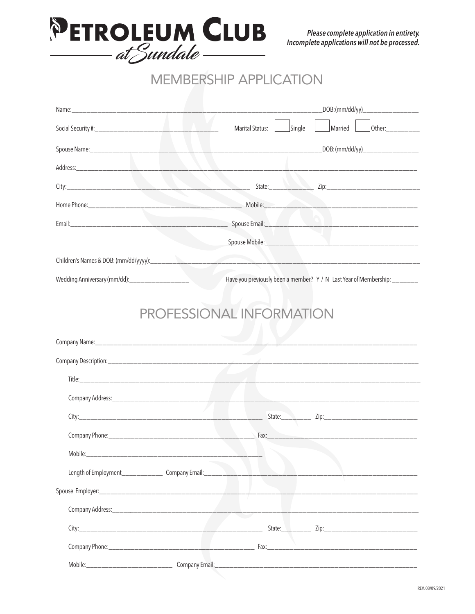

## **MEMBERSHIP APPLICATION**

|                                                                                                                                                                                                                                |                                                                           | _DOB:(mm/dd/yy)___________________     |  |  |  |  |  |  |
|--------------------------------------------------------------------------------------------------------------------------------------------------------------------------------------------------------------------------------|---------------------------------------------------------------------------|----------------------------------------|--|--|--|--|--|--|
|                                                                                                                                                                                                                                |                                                                           | Marital Status: Single Married 10ther: |  |  |  |  |  |  |
|                                                                                                                                                                                                                                |                                                                           |                                        |  |  |  |  |  |  |
|                                                                                                                                                                                                                                |                                                                           |                                        |  |  |  |  |  |  |
|                                                                                                                                                                                                                                |                                                                           |                                        |  |  |  |  |  |  |
|                                                                                                                                                                                                                                |                                                                           |                                        |  |  |  |  |  |  |
|                                                                                                                                                                                                                                |                                                                           |                                        |  |  |  |  |  |  |
|                                                                                                                                                                                                                                |                                                                           |                                        |  |  |  |  |  |  |
|                                                                                                                                                                                                                                |                                                                           |                                        |  |  |  |  |  |  |
| Wedding Anniversary (mm/dd):___________________                                                                                                                                                                                | Have you previously been a member? Y / N Last Year of Membership: _______ |                                        |  |  |  |  |  |  |
|                                                                                                                                                                                                                                | PROFESSIONAL INFORMATION                                                  |                                        |  |  |  |  |  |  |
|                                                                                                                                                                                                                                |                                                                           |                                        |  |  |  |  |  |  |
|                                                                                                                                                                                                                                |                                                                           |                                        |  |  |  |  |  |  |
|                                                                                                                                                                                                                                |                                                                           |                                        |  |  |  |  |  |  |
|                                                                                                                                                                                                                                |                                                                           |                                        |  |  |  |  |  |  |
|                                                                                                                                                                                                                                |                                                                           |                                        |  |  |  |  |  |  |
|                                                                                                                                                                                                                                |                                                                           |                                        |  |  |  |  |  |  |
| Mobile: Mobile and Mobile and Mobile and Mobile and Mobile and Mobile and Mobile and Mobile and Mobile and Mobile and Mobile and Mobile and Mobile and Mobile and Mobile and Mobile and Mobile and Mobile and Mobile and Mobil |                                                                           |                                        |  |  |  |  |  |  |
|                                                                                                                                                                                                                                |                                                                           |                                        |  |  |  |  |  |  |
|                                                                                                                                                                                                                                |                                                                           |                                        |  |  |  |  |  |  |
|                                                                                                                                                                                                                                |                                                                           |                                        |  |  |  |  |  |  |
|                                                                                                                                                                                                                                |                                                                           |                                        |  |  |  |  |  |  |
|                                                                                                                                                                                                                                |                                                                           |                                        |  |  |  |  |  |  |
|                                                                                                                                                                                                                                |                                                                           |                                        |  |  |  |  |  |  |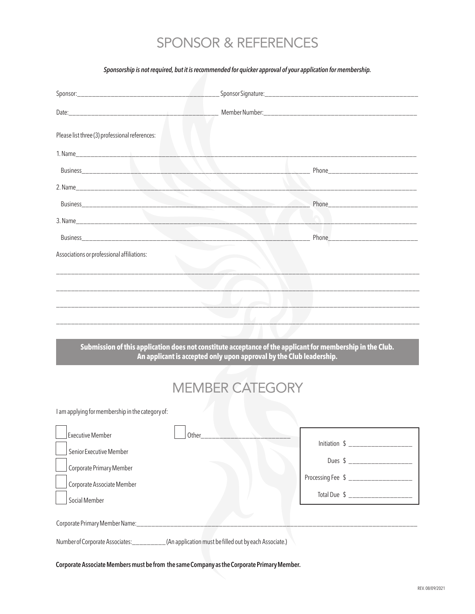## SPONSOR & REFERENCES

## *Sponsorship is not required, but it is recommended for quicker approval of your application for membership.*

| Please list three (3) professional references:                                                   |                                                                                                                                                                                   |  |  |  |  |  |
|--------------------------------------------------------------------------------------------------|-----------------------------------------------------------------------------------------------------------------------------------------------------------------------------------|--|--|--|--|--|
|                                                                                                  |                                                                                                                                                                                   |  |  |  |  |  |
|                                                                                                  |                                                                                                                                                                                   |  |  |  |  |  |
|                                                                                                  | the contract of the contract of the contract of the contract of the contract of                                                                                                   |  |  |  |  |  |
|                                                                                                  |                                                                                                                                                                                   |  |  |  |  |  |
|                                                                                                  | _________________________                                                                                                                                                         |  |  |  |  |  |
|                                                                                                  |                                                                                                                                                                                   |  |  |  |  |  |
| Associations or professional affiliations:                                                       |                                                                                                                                                                                   |  |  |  |  |  |
|                                                                                                  |                                                                                                                                                                                   |  |  |  |  |  |
|                                                                                                  |                                                                                                                                                                                   |  |  |  |  |  |
|                                                                                                  |                                                                                                                                                                                   |  |  |  |  |  |
|                                                                                                  |                                                                                                                                                                                   |  |  |  |  |  |
|                                                                                                  |                                                                                                                                                                                   |  |  |  |  |  |
|                                                                                                  | Submission of this application does not constitute acceptance of the applicant for membership in the Club.<br>An applicant is accepted only upon approval by the Club leadership. |  |  |  |  |  |
|                                                                                                  |                                                                                                                                                                                   |  |  |  |  |  |
|                                                                                                  | <b>MEMBER CATEGORY</b>                                                                                                                                                            |  |  |  |  |  |
| I am applying for membership in the category of:                                                 |                                                                                                                                                                                   |  |  |  |  |  |
|                                                                                                  |                                                                                                                                                                                   |  |  |  |  |  |
| <b>Executive Member</b><br>Other_                                                                |                                                                                                                                                                                   |  |  |  |  |  |
| Senior Executive Member                                                                          |                                                                                                                                                                                   |  |  |  |  |  |
| Corporate Primary Member                                                                         | Processing Fee \$ _____________________                                                                                                                                           |  |  |  |  |  |
| Corporate Associate Member                                                                       | Total Due \$ _____________________                                                                                                                                                |  |  |  |  |  |
| Social Member                                                                                    |                                                                                                                                                                                   |  |  |  |  |  |
| Corporate Primary Member Name:____________________                                               |                                                                                                                                                                                   |  |  |  |  |  |
| Number of Corporate Associates: __________(An application must be filled out by each Associate.) |                                                                                                                                                                                   |  |  |  |  |  |

**Corporate Associate Members must be from the same Company as the Corporate Primary Member.**